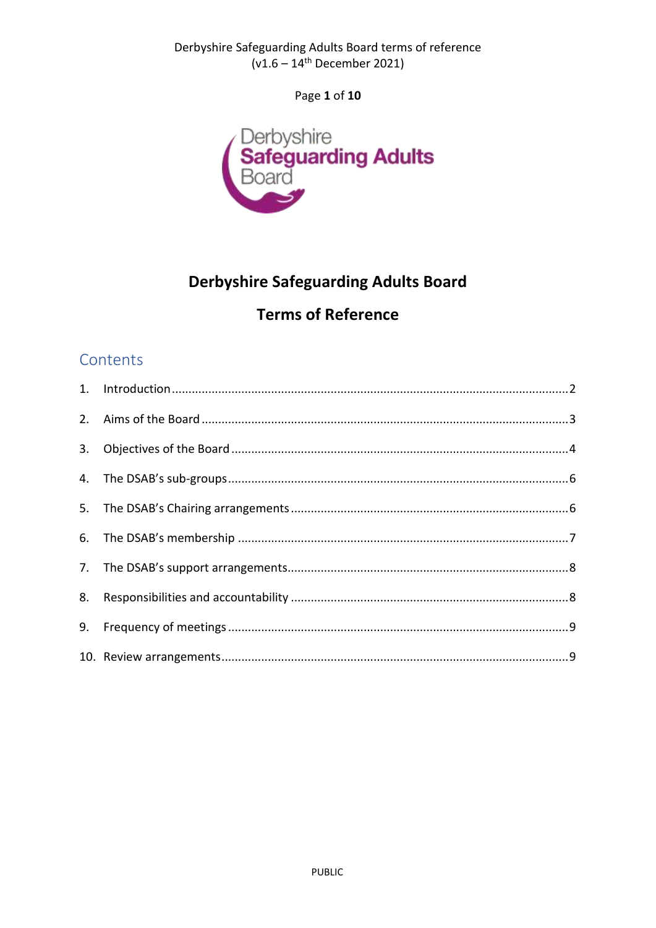Derbyshire Safeguarding Adults Board terms of reference  $(v1.6 - 14^{th}$  December 2021)

Page 1 of 10



# **Derbyshire Safeguarding Adults Board**

# **Terms of Reference**

## Contents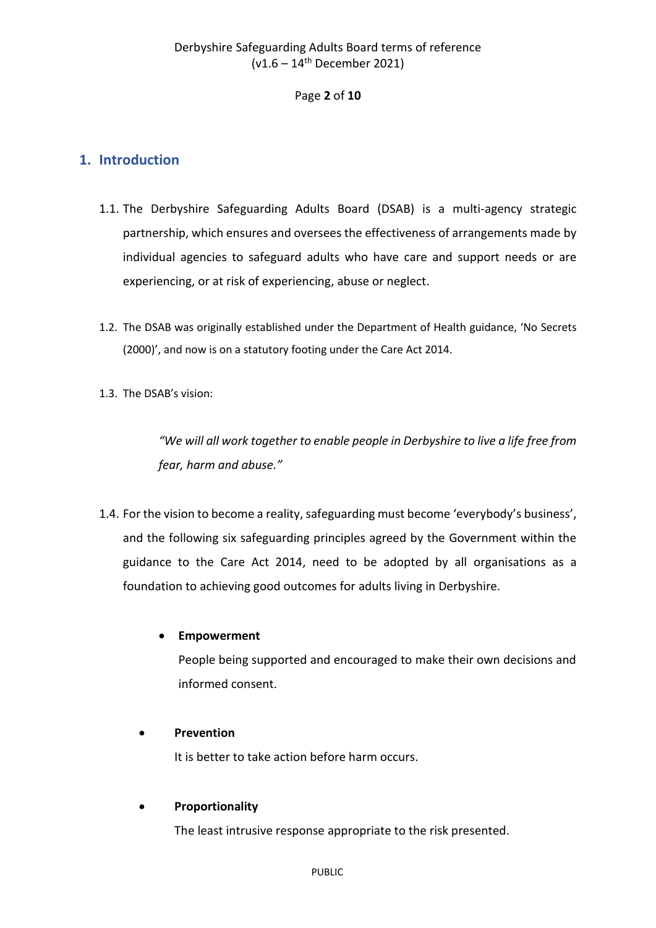#### Page **2** of **10**

## <span id="page-1-0"></span>**1. Introduction**

- 1.1. The Derbyshire Safeguarding Adults Board (DSAB) is a multi-agency strategic partnership, which ensures and oversees the effectiveness of arrangements made by individual agencies to safeguard adults who have care and support needs or are experiencing, or at risk of experiencing, abuse or neglect.
- 1.2. The DSAB was originally established under the Department of Health guidance, 'No Secrets (2000)', and now is on a statutory footing under the Care Act 2014.
- 1.3. The DSAB's vision:

*"We will all work together to enable people in Derbyshire to live a life free from fear, harm and abuse."*

1.4. For the vision to become a reality, safeguarding must become 'everybody's business', and the following six safeguarding principles agreed by the Government within the guidance to the Care Act 2014, need to be adopted by all organisations as a foundation to achieving good outcomes for adults living in Derbyshire.

#### • **Empowerment**

People being supported and encouraged to make their own decisions and informed consent.

#### • **Prevention**

It is better to take action before harm occurs.

#### • **Proportionality**

The least intrusive response appropriate to the risk presented.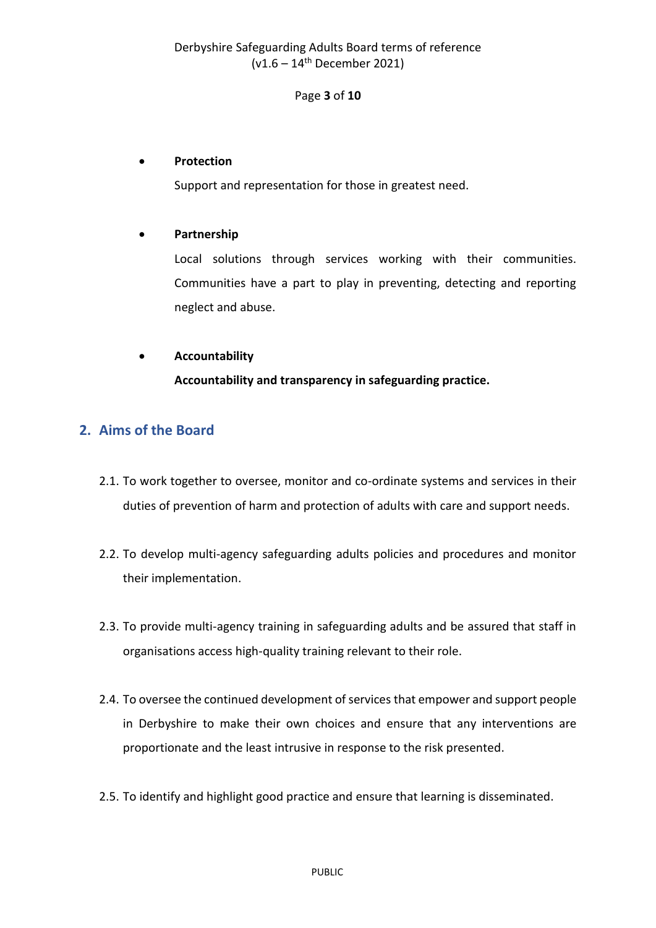## Derbyshire Safeguarding Adults Board terms of reference  $(v1.6 - 14$ <sup>th</sup> December 2021)

#### Page **3** of **10**

#### • **Protection**

Support and representation for those in greatest need.

#### • **Partnership**

Local solutions through services working with their communities. Communities have a part to play in preventing, detecting and reporting neglect and abuse.

#### • **Accountability**

**Accountability and transparency in safeguarding practice.**

## <span id="page-2-0"></span>**2. Aims of the Board**

- 2.1. To work together to oversee, monitor and co-ordinate systems and services in their duties of prevention of harm and protection of adults with care and support needs.
- 2.2. To develop multi-agency safeguarding adults policies and procedures and monitor their implementation.
- 2.3. To provide multi-agency training in safeguarding adults and be assured that staff in organisations access high-quality training relevant to their role.
- 2.4. To oversee the continued development of services that empower and support people in Derbyshire to make their own choices and ensure that any interventions are proportionate and the least intrusive in response to the risk presented.
- 2.5. To identify and highlight good practice and ensure that learning is disseminated.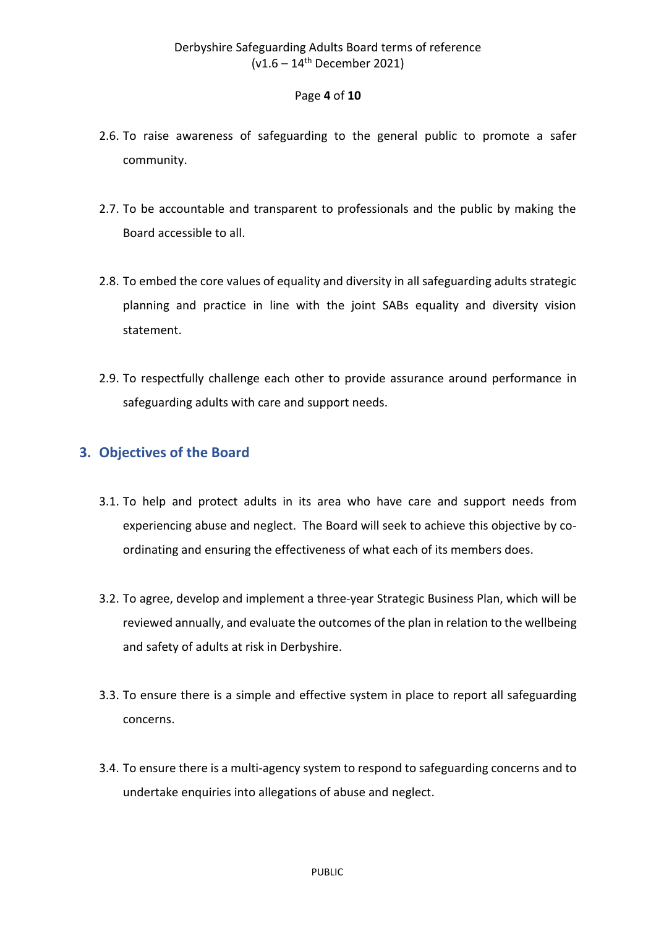#### Page **4** of **10**

- 2.6. To raise awareness of safeguarding to the general public to promote a safer community.
- 2.7. To be accountable and transparent to professionals and the public by making the Board accessible to all.
- 2.8. To embed the core values of equality and diversity in all safeguarding adults strategic planning and practice in line with the joint SABs equality and diversity vision statement.
- 2.9. To respectfully challenge each other to provide assurance around performance in safeguarding adults with care and support needs.

## <span id="page-3-0"></span>**3. Objectives of the Board**

- 3.1. To help and protect adults in its area who have care and support needs from experiencing abuse and neglect. The Board will seek to achieve this objective by coordinating and ensuring the effectiveness of what each of its members does.
- 3.2. To agree, develop and implement a three-year Strategic Business Plan, which will be reviewed annually, and evaluate the outcomes of the plan in relation to the wellbeing and safety of adults at risk in Derbyshire.
- 3.3. To ensure there is a simple and effective system in place to report all safeguarding concerns.
- 3.4. To ensure there is a multi-agency system to respond to safeguarding concerns and to undertake enquiries into allegations of abuse and neglect.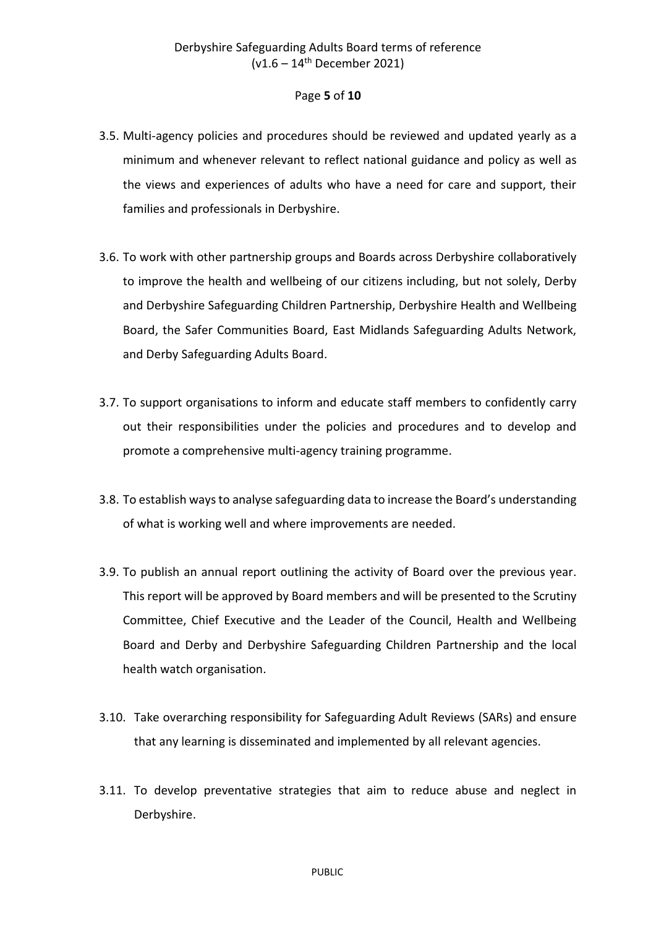#### Page **5** of **10**

- 3.5. Multi-agency policies and procedures should be reviewed and updated yearly as a minimum and whenever relevant to reflect national guidance and policy as well as the views and experiences of adults who have a need for care and support, their families and professionals in Derbyshire.
- 3.6. To work with other partnership groups and Boards across Derbyshire collaboratively to improve the health and wellbeing of our citizens including, but not solely, Derby and Derbyshire Safeguarding Children Partnership, Derbyshire Health and Wellbeing Board, the Safer Communities Board, East Midlands Safeguarding Adults Network, and Derby Safeguarding Adults Board.
- 3.7. To support organisations to inform and educate staff members to confidently carry out their responsibilities under the policies and procedures and to develop and promote a comprehensive multi-agency training programme.
- 3.8. To establish ways to analyse safeguarding data to increase the Board's understanding of what is working well and where improvements are needed.
- 3.9. To publish an annual report outlining the activity of Board over the previous year. This report will be approved by Board members and will be presented to the Scrutiny Committee, Chief Executive and the Leader of the Council, Health and Wellbeing Board and Derby and Derbyshire Safeguarding Children Partnership and the local health watch organisation.
- 3.10. Take overarching responsibility for Safeguarding Adult Reviews (SARs) and ensure that any learning is disseminated and implemented by all relevant agencies.
- 3.11. To develop preventative strategies that aim to reduce abuse and neglect in Derbyshire.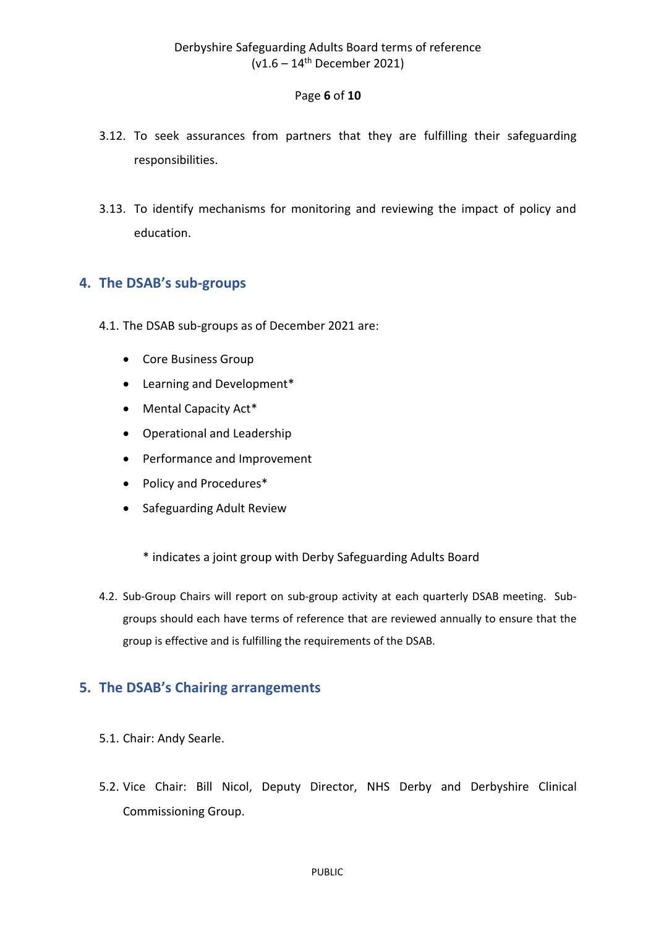#### Page **6** of **10**

- 3.12. To seek assurances from partners that they are fulfilling their safeguarding responsibilities.
- 3.13. To identify mechanisms for monitoring and reviewing the impact of policy and education.

## <span id="page-5-0"></span>**4. The DSAB's sub-groups**

- 4.1. The DSAB sub-groups as of December 2021 are:
	- Core Business Group
	- Learning and Development\*
	- Mental Capacity Act\*
	- Operational and Leadership
	- Performance and Improvement
	- Policy and Procedures\*
	- Safeguarding Adult Review
		- \* indicates a joint group with Derby Safeguarding Adults Board
- 4.2. Sub-Group Chairs will report on sub-group activity at each quarterly DSAB meeting. Subgroups should each have terms of reference that are reviewed annually to ensure that the group is effective and is fulfilling the requirements of the DSAB.

## <span id="page-5-1"></span>**5. The DSAB's Chairing arrangements**

- 5.1. Chair: Andy Searle.
- 5.2. Vice Chair: Bill Nicol, Deputy Director, NHS Derby and Derbyshire Clinical Commissioning Group.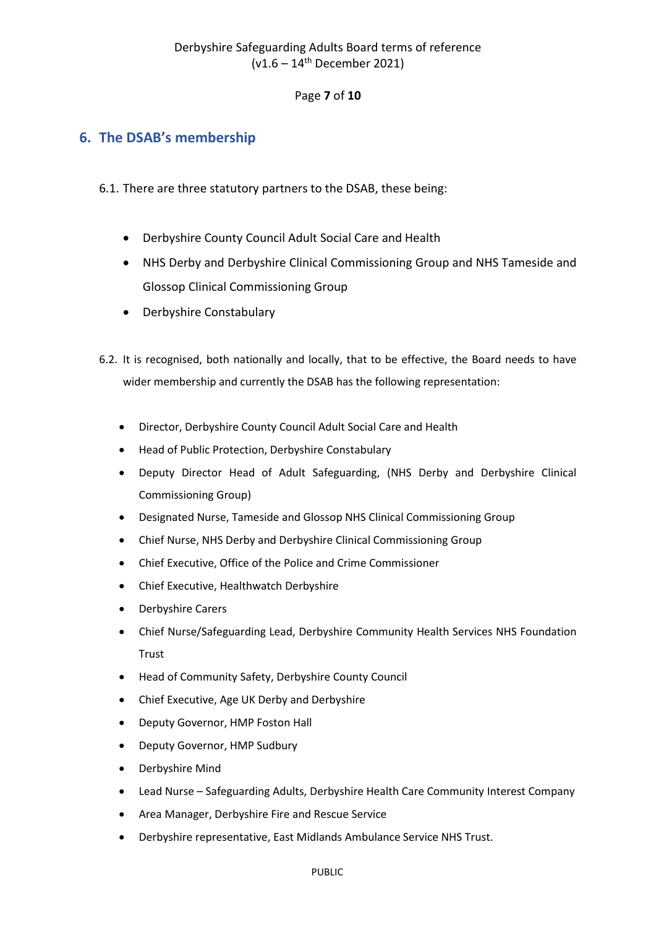#### Page **7** of **10**

## <span id="page-6-0"></span>**6. The DSAB's membership**

- 6.1. There are three statutory partners to the DSAB, these being:
	- Derbyshire County Council Adult Social Care and Health
	- NHS Derby and Derbyshire Clinical Commissioning Group and NHS Tameside and Glossop Clinical Commissioning Group
	- Derbyshire Constabulary
- 6.2. It is recognised, both nationally and locally, that to be effective, the Board needs to have wider membership and currently the DSAB has the following representation:
	- Director, Derbyshire County Council Adult Social Care and Health
	- Head of Public Protection, Derbyshire Constabulary
	- Deputy Director Head of Adult Safeguarding, (NHS Derby and Derbyshire Clinical Commissioning Group)
	- Designated Nurse, Tameside and Glossop NHS Clinical Commissioning Group
	- Chief Nurse, NHS Derby and Derbyshire Clinical Commissioning Group
	- Chief Executive, Office of the Police and Crime Commissioner
	- Chief Executive, Healthwatch Derbyshire
	- Derbyshire Carers
	- Chief Nurse/Safeguarding Lead, Derbyshire Community Health Services NHS Foundation Trust
	- Head of Community Safety, Derbyshire County Council
	- Chief Executive, Age UK Derby and Derbyshire
	- Deputy Governor, HMP Foston Hall
	- Deputy Governor, HMP Sudbury
	- Derbyshire Mind
	- Lead Nurse Safeguarding Adults, Derbyshire Health Care Community Interest Company
	- Area Manager, Derbyshire Fire and Rescue Service
	- Derbyshire representative, East Midlands Ambulance Service NHS Trust.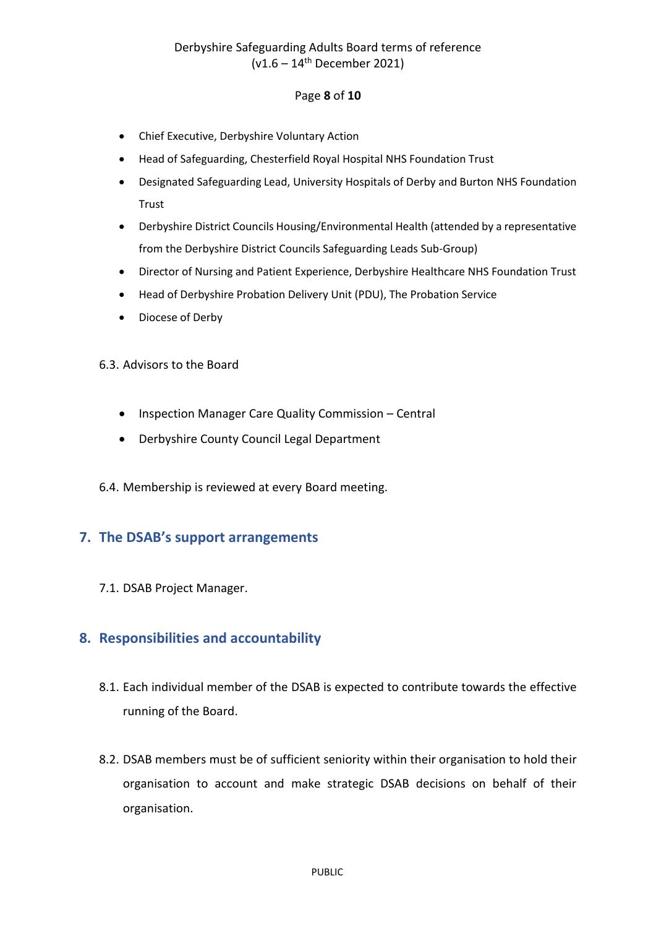## Derbyshire Safeguarding Adults Board terms of reference  $(v1.6 - 14$ <sup>th</sup> December 2021)

#### Page **8** of **10**

- Chief Executive, Derbyshire Voluntary Action
- Head of Safeguarding, Chesterfield Royal Hospital NHS Foundation Trust
- Designated Safeguarding Lead, University Hospitals of Derby and Burton NHS Foundation **Trust**
- Derbyshire District Councils Housing/Environmental Health (attended by a representative from the Derbyshire District Councils Safeguarding Leads Sub-Group)
- Director of Nursing and Patient Experience, Derbyshire Healthcare NHS Foundation Trust
- Head of Derbyshire Probation Delivery Unit (PDU), The Probation Service
- Diocese of Derby
- 6.3. Advisors to the Board
	- Inspection Manager Care Quality Commission Central
	- Derbyshire County Council Legal Department
- 6.4. Membership is reviewed at every Board meeting.

## <span id="page-7-0"></span>**7. The DSAB's support arrangements**

7.1. DSAB Project Manager.

## <span id="page-7-1"></span>**8. Responsibilities and accountability**

- 8.1. Each individual member of the DSAB is expected to contribute towards the effective running of the Board.
- 8.2. DSAB members must be of sufficient seniority within their organisation to hold their organisation to account and make strategic DSAB decisions on behalf of their organisation.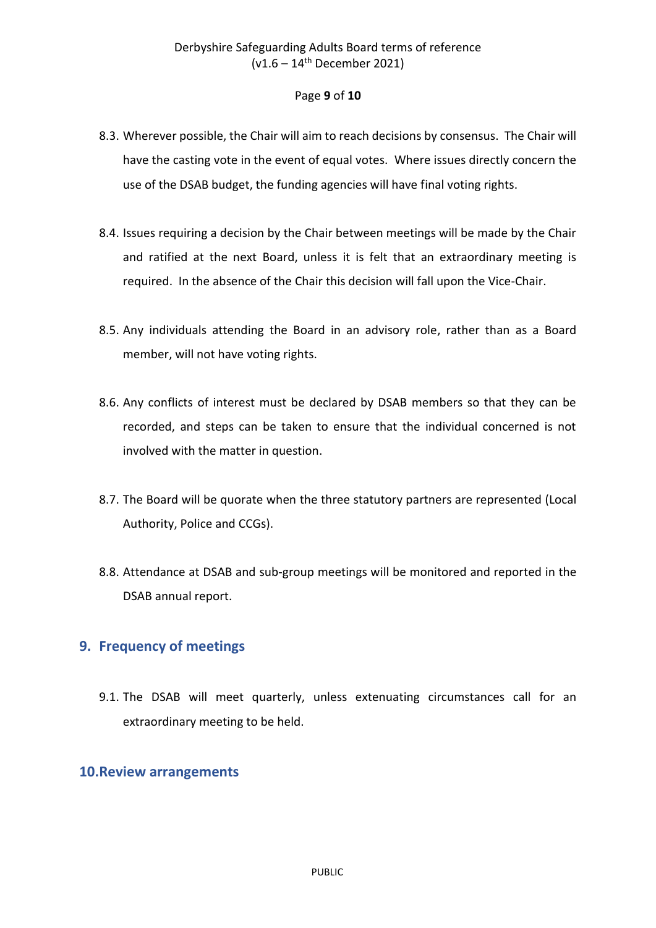#### Page **9** of **10**

- 8.3. Wherever possible, the Chair will aim to reach decisions by consensus. The Chair will have the casting vote in the event of equal votes. Where issues directly concern the use of the DSAB budget, the funding agencies will have final voting rights.
- 8.4. Issues requiring a decision by the Chair between meetings will be made by the Chair and ratified at the next Board, unless it is felt that an extraordinary meeting is required. In the absence of the Chair this decision will fall upon the Vice-Chair.
- 8.5. Any individuals attending the Board in an advisory role, rather than as a Board member, will not have voting rights.
- 8.6. Any conflicts of interest must be declared by DSAB members so that they can be recorded, and steps can be taken to ensure that the individual concerned is not involved with the matter in question.
- 8.7. The Board will be quorate when the three statutory partners are represented (Local Authority, Police and CCGs).
- 8.8. Attendance at DSAB and sub-group meetings will be monitored and reported in the DSAB annual report.

## <span id="page-8-0"></span>**9. Frequency of meetings**

9.1. The DSAB will meet quarterly, unless extenuating circumstances call for an extraordinary meeting to be held.

#### <span id="page-8-1"></span>**10.Review arrangements**